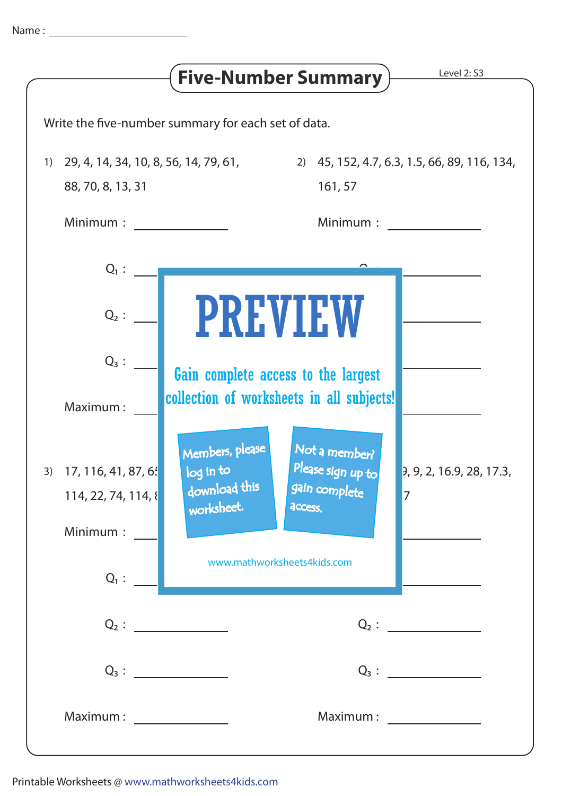